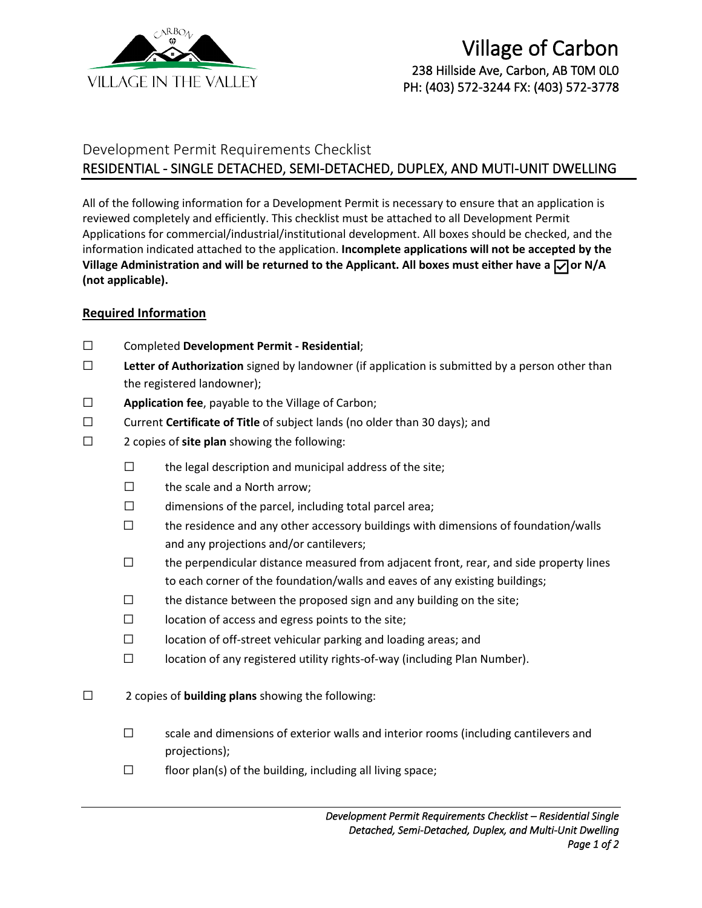

## Development Permit Requirements Checklist RESIDENTIAL - SINGLE DETACHED, SEMI-DETACHED, DUPLEX, AND MUTI-UNIT DWELLING

All of the following information for a Development Permit is necessary to ensure that an application is reviewed completely and efficiently. This checklist must be attached to all Development Permit Applications for commercial/industrial/institutional development. All boxes should be checked, and the information indicated attached to the application. **Incomplete applications will not be accepted by the**  Village Administration and will be returned to the Applicant. All boxes must either have a  $\Box$  or N/A **(not applicable).**

## **Required Information**

- ☐ Completed **Development Permit - Residential**;
- ☐ **Letter of Authorization** signed by landowner (if application is submitted by a person other than the registered landowner);
- ☐ **Application fee**, payable to the Village of Carbon;
- ☐ Current **Certificate of Title** of subject lands (no older than 30 days); and
- ☐ 2 copies of **site plan** showing the following:
	- ☐ the legal description and municipal address of the site;
	- ☐ the scale and a North arrow;
	- $\Box$  dimensions of the parcel, including total parcel area;
	- $\square$  the residence and any other accessory buildings with dimensions of foundation/walls and any projections and/or cantilevers;
	- $\Box$  the perpendicular distance measured from adjacent front, rear, and side property lines to each corner of the foundation/walls and eaves of any existing buildings;
	- $\Box$  the distance between the proposed sign and any building on the site;
	- $\Box$  location of access and egress points to the site;
	- ☐ location of off-street vehicular parking and loading areas; and
	- ☐ location of any registered utility rights-of-way (including Plan Number).
- ☐ 2 copies of **building plans** showing the following:
	- □ scale and dimensions of exterior walls and interior rooms (including cantilevers and projections);
	- $\Box$  floor plan(s) of the building, including all living space;